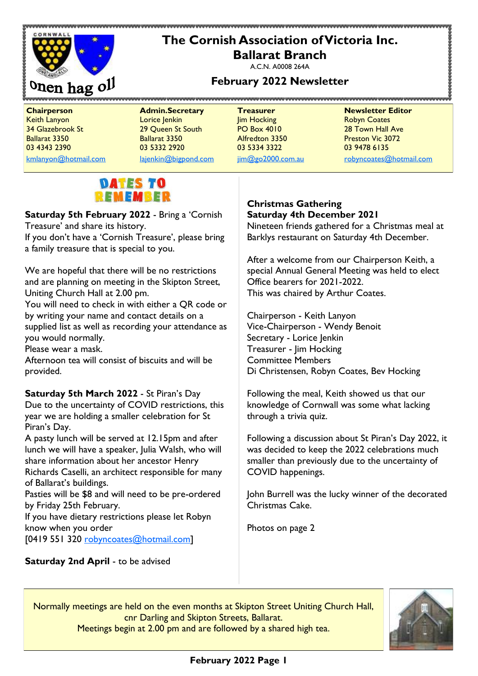## **The Cornish Association of Victoria Inc.**



**February 2022 Newsletter**

 $\ln \text{hag}$  ol

Keith Lanyon Lorice Jenkin Jim Hocking Robyn Coates 34 Glazebrook St 29 Queen St South PO Box 4010 28 Town Hall Ave Ballarat 3350 Ballarat 3350 Alfredton 3350 Preston Vic 3072

**Chairperson Admin.Secretary Treasurer Newsletter Editor** 03 4343 2390 03 5332 2920 03 5334 3322 03 9478 6135

[kmlanyon@hotmail.com](mailto:kmlanyon@hotmail.com) [lajenkin@bigpond.com](mailto:lajenkin@bigpond.com) [jim@go2000.com.au](mailto:jim@go2000.com.au) [robyncoates@hotmail.com](mailto:robynjcoates@iinet.net.au)



**Saturday 5th February 2022** - Bring a 'Cornish Treasure' and share its history. If you don't have a 'Cornish Treasure', please bring

a family treasure that is special to you.

We are hopeful that there will be no restrictions and are planning on meeting in the Skipton Street, Uniting Church Hall at 2.00 pm.

You will need to check in with either a QR code or by writing your name and contact details on a supplied list as well as recording your attendance as you would normally.

Please wear a mask.

Afternoon tea will consist of biscuits and will be provided.

**Saturday 5th March 2022** - St Piran's Day Due to the uncertainty of COVID restrictions, this year we are holding a smaller celebration for St Piran's Day.

A pasty lunch will be served at 12.15pm and after lunch we will have a speaker, Julia Walsh, who will share information about her ancestor Henry Richards Caselli, an architect responsible for many of Ballarat's buildings.

Pasties will be \$8 and will need to be pre-ordered by Friday 25th February.

If you have dietary restrictions please let Robyn know when you order

[0419 551 320 [robyncoates@hotmail.com\]](mailto:robyncoates@hotmail.com)

**Saturday 2nd April - to be advised** 

#### **Christmas Gathering Saturday 4th December 2021**

Nineteen friends gathered for a Christmas meal at Barklys restaurant on Saturday 4th December.

After a welcome from our Chairperson Keith, a special Annual General Meeting was held to elect Office bearers for 2021-2022. This was chaired by Arthur Coates.

Chairperson - Keith Lanyon Vice-Chairperson - Wendy Benoit Secretary - Lorice Jenkin Treasurer - Jim Hocking Committee Members Di Christensen, Robyn Coates, Bev Hocking

Following the meal, Keith showed us that our knowledge of Cornwall was some what lacking through a trivia quiz.

Following a discussion about St Piran's Day 2022, it was decided to keep the 2022 celebrations much smaller than previously due to the uncertainty of COVID happenings.

John Burrell was the lucky winner of the decorated Christmas Cake.

Photos on page 2

Normally meetings are held on the even months at Skipton Street Uniting Church Hall, cnr Darling and Skipton Streets, Ballarat. Meetings begin at 2.00 pm and are followed by a shared high tea.

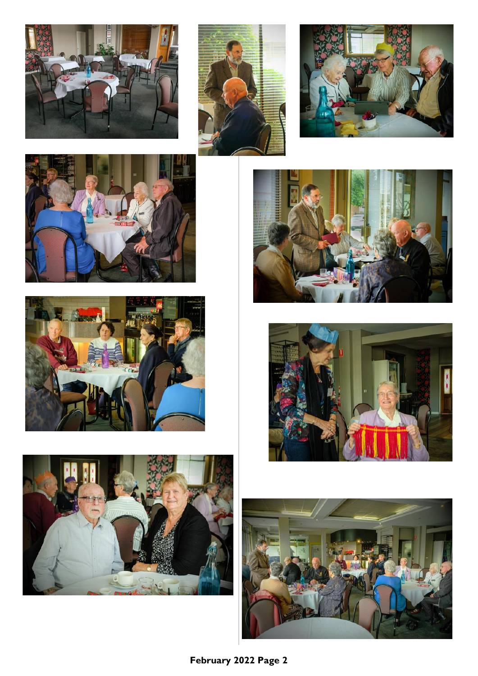

















**February 2022 Page 2**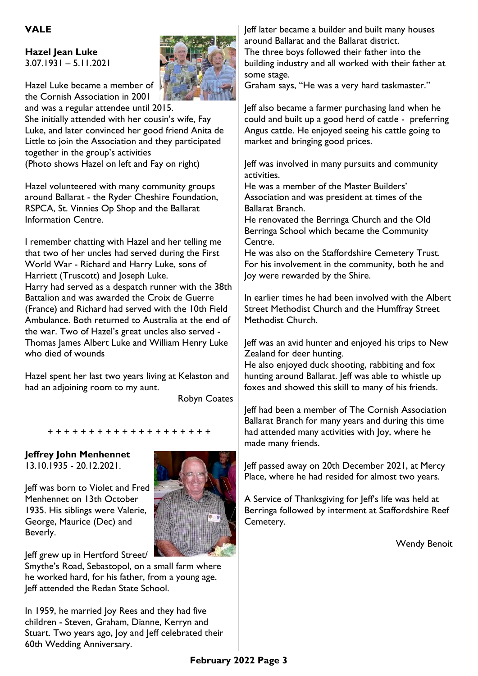**Hazel Jean Luke** 3.07.1931 – 5.11.2021

Hazel Luke became a member of the Cornish Association in 2001

and was a regular attendee until 2015. She initially attended with her cousin's wife, Fay Luke, and later convinced her good friend Anita de Little to join the Association and they participated together in the group's activities

(Photo shows Hazel on left and Fay on right)

Hazel volunteered with many community groups around Ballarat - the Ryder Cheshire Foundation, RSPCA, St. Vinnies Op Shop and the Ballarat Information Centre.

I remember chatting with Hazel and her telling me that two of her uncles had served during the First World War - Richard and Harry Luke, sons of Harriett (Truscott) and Joseph Luke. Harry had served as a despatch runner with the 38th Battalion and was awarded the Croix de Guerre (France) and Richard had served with the 10th Field Ambulance. Both returned to Australia at the end of the war. Two of Hazel's great uncles also served - Thomas James Albert Luke and William Henry Luke who died of wounds

Hazel spent her last two years living at Kelaston and had an adjoining room to my aunt.

Robyn Coates

+ + + + + + + + + + + + + + + + + + + +

**Jeffrey John Menhennet** 13.10.1935 - 20.12.2021.

Jeff was born to Violet and Fred Menhennet on 13th October 1935. His siblings were Valerie, George, Maurice (Dec) and Beverly.



Jeff grew up in Hertford Street/

Smythe's Road, Sebastopol, on a small farm where he worked hard, for his father, from a young age. Jeff attended the Redan State School.

In 1959, he married Joy Rees and they had five children - Steven, Graham, Dianne, Kerryn and Stuart. Two years ago, Joy and Jeff celebrated their 60th Wedding Anniversary.

Jeff later became a builder and built many houses around Ballarat and the Ballarat district. The three boys followed their father into the building industry and all worked with their father at some stage.

Graham says, "He was a very hard taskmaster."

Jeff also became a farmer purchasing land when he could and built up a good herd of cattle - preferring Angus cattle. He enjoyed seeing his cattle going to market and bringing good prices.

Jeff was involved in many pursuits and community activities.

He was a member of the Master Builders' Association and was president at times of the Ballarat Branch.

He renovated the Berringa Church and the Old Berringa School which became the Community Centre.

He was also on the Staffordshire Cemetery Trust. For his involvement in the community, both he and Joy were rewarded by the Shire.

In earlier times he had been involved with the Albert Street Methodist Church and the Humffray Street Methodist Church.

Jeff was an avid hunter and enjoyed his trips to New Zealand for deer hunting.

He also enjoyed duck shooting, rabbiting and fox hunting around Ballarat. Jeff was able to whistle up foxes and showed this skill to many of his friends.

Jeff had been a member of The Cornish Association Ballarat Branch for many years and during this time had attended many activities with Joy, where he made many friends.

Jeff passed away on 20th December 2021, at Mercy Place, where he had resided for almost two years.

A Service of Thanksgiving for Jeff's life was held at Berringa followed by interment at Staffordshire Reef Cemetery.

Wendy Benoit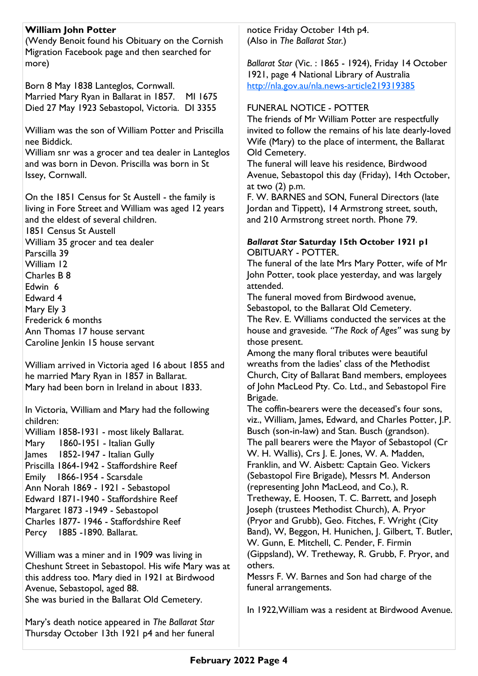## **William John Potter**

(Wendy Benoit found his Obituary on the Cornish Migration Facebook page and then searched for more)

Born 8 May 1838 Lanteglos, Cornwall. Married Mary Ryan in Ballarat in 1857. MI 1675 Died 27 May 1923 Sebastopol, Victoria. DI 3355

William was the son of William Potter and Priscilla nee Biddick.

William snr was a grocer and tea dealer in Lanteglos and was born in Devon. Priscilla was born in St Issey, Cornwall.

On the 1851 Census for St Austell - the family is living in Fore Street and William was aged 12 years and the eldest of several children.

1851 Census St Austell William 35 grocer and tea dealer Parscilla 39 William 12 Charles B 8 Edwin 6 Edward 4 Mary Ely 3 Frederick 6 months Ann Thomas 17 house servant Caroline Jenkin 15 house servant

William arrived in Victoria aged 16 about 1855 and he married Mary Ryan in 1857 in Ballarat. Mary had been born in Ireland in about 1833.

In Victoria, William and Mary had the following children:

William 1858-1931 - most likely Ballarat. Mary 1860-1951 - Italian Gully James 1852-1947 - Italian Gully Priscilla 1864-1942 - Staffordshire Reef Emily 1866-1954 - Scarsdale Ann Norah 1869 - 1921 - Sebastopol Edward 1871-1940 - Staffordshire Reef Margaret 1873 -1949 - Sebastopol Charles 1877- 1946 - Staffordshire Reef Percy 1885 -1890. Ballarat.

William was a miner and in 1909 was living in Cheshunt Street in Sebastopol. His wife Mary was at this address too. Mary died in 1921 at Birdwood Avenue, Sebastopol, aged 88. She was buried in the Ballarat Old Cemetery.

Mary's death notice appeared in *The Ballarat Star*  Thursday October 13th 1921 p4 and her funeral notice Friday October 14th p4. (Also in *The Ballarat Star.*)

*Ballarat Star* (Vic. : 1865 - 1924), Friday 14 October 1921, page 4 National Library of Australia <http://nla.gov.au/nla.news-article219319385>

#### FUNERAL NOTICE - POTTER

The friends of Mr William Potter are respectfully invited to follow the remains of his late dearly-loved Wife (Mary) to the place of interment, the Ballarat Old Cemetery.

The funeral will leave his residence, Birdwood Avenue, Sebastopol this day (Friday), 14th October, at two (2) p.m.

F. W. BARNES and SON, Funeral Directors (late Jordan and Tippett), 14 Armstrong street, south, and 210 Armstrong street north. Phone 79.

#### *Ballarat Star* **Saturday 15th October 1921 p1** OBITUARY - POTTER.

The funeral of the late Mrs Mary Potter, wife of Mr John Potter, took place yesterday, and was largely attended.

The funeral moved from Birdwood avenue, Sebastopol, to the Ballarat Old Cemetery. The Rev. E. Williams conducted the services at the house and graveside*. "The Rock of Ages''* was sung by those present.

Among the many floral tributes were beautiful wreaths from the ladies' class of the Methodist Church, City of Ballarat Band members, employees of John MacLeod Pty. Co. Ltd., and Sebastopol Fire Brigade.

The coffin-bearers were the deceased's four sons, viz., William, James, Edward, and Charles Potter, J.P. Busch (son-in-law) and Stan. Busch (grandson). The pall bearers were the Mayor of Sebastopol (Cr W. H. Wallis), Crs J. E. Jones, W. A. Madden, Franklin, and W. Aisbett: Captain Geo. Vickers (Sebastopol Fire Brigade), Messrs M. Anderson (representing John MacLeod, and Co.), R. Tretheway, E. Hoosen, T. C. Barrett, and Joseph Joseph (trustees Methodist Church), A. Pryor (Pryor and Grubb), Geo. Fitches, F. Wright (City Band), W, Beggon, H. Hunichen, J. Gilbert, T. Butler, W. Gunn, E. Mitchell, C. Pender, F. Firmin (Gippsland), W. Tretheway, R. Grubb, F. Pryor, and others.

Messrs F. W. Barnes and Son had charge of the funeral arrangements.

In 1922,William was a resident at Birdwood Avenue.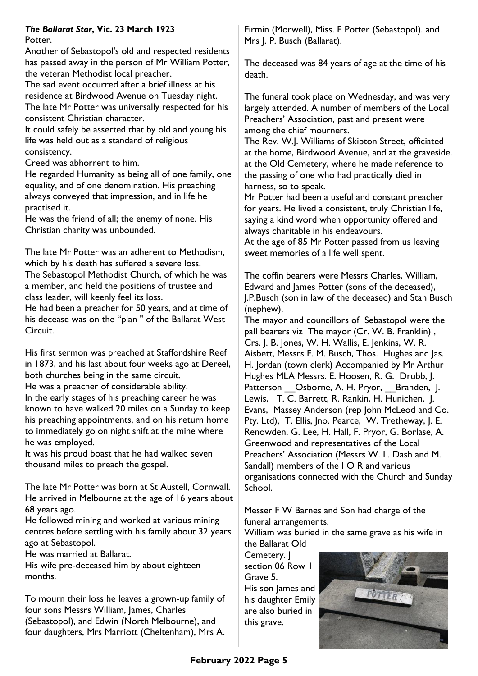#### *The Ballarat Star***, Vic. 23 March 1923** Potter.

Another of Sebastopol's old and respected residents has passed away in the person of Mr William Potter, the veteran Methodist local preacher.

The sad event occurred after a brief illness at his residence at Birdwood Avenue on Tuesday night. The late Mr Potter was universally respected for his consistent Christian character.

It could safely be asserted that by old and young his life was held out as a standard of religious consistency.

Creed was abhorrent to him.

He regarded Humanity as being all of one family, one equality, and of one denomination. His preaching always conveyed that impression, and in life he practised it.

He was the friend of all; the enemy of none. His Christian charity was unbounded.

The late Mr Potter was an adherent to Methodism, which by his death has suffered a severe loss.

The Sebastopol Methodist Church, of which he was a member, and held the positions of trustee and class leader, will keenly feel its loss.

He had been a preacher for 50 years, and at time of his decease was on the "plan " of the Ballarat West Circuit.

His first sermon was preached at Staffordshire Reef in 1873, and his last about four weeks ago at Dereel, both churches being in the same circuit.

He was a preacher of considerable ability.

In the early stages of his preaching career he was known to have walked 20 miles on a Sunday to keep his preaching appointments, and on his return home to immediately go on night shift at the mine where he was employed.

It was his proud boast that he had walked seven thousand miles to preach the gospel.

The late Mr Potter was born at St Austell, Cornwall. He arrived in Melbourne at the age of 16 years about 68 years ago.

He followed mining and worked at various mining centres before settling with his family about 32 years ago at Sebastopol.

He was married at Ballarat.

His wife pre-deceased him by about eighteen months.

To mourn their loss he leaves a grown-up family of four sons Messrs William, James, Charles (Sebastopol), and Edwin (North Melbourne), and four daughters, Mrs Marriott (Cheltenham), Mrs A. Firmin (Morwell), Miss. E Potter (Sebastopol). and Mrs J. P. Busch (Ballarat).

The deceased was 84 years of age at the time of his death.

The funeral took place on Wednesday, and was very largely attended. A number of members of the Local Preachers' Association, past and present were among the chief mourners.

The Rev. W.J. Williams of Skipton Street, officiated at the home, Birdwood Avenue, and at the graveside. at the Old Cemetery, where he made reference to the passing of one who had practically died in harness, so to speak.

Mr Potter had been a useful and constant preacher for years. He lived a consistent, truly Christian life, saying a kind word when opportunity offered and always charitable in his endeavours.

At the age of 85 Mr Potter passed from us leaving sweet memories of a life well spent.

The coffin bearers were Messrs Charles, William, Edward and James Potter (sons of the deceased), J.P.Busch (son in law of the deceased) and Stan Busch (nephew).

The mayor and councillors of Sebastopol were the pall bearers viz The mayor (Cr. W. B. Franklin), Crs. J. B. Jones, W. H. Wallis, E. Jenkins, W. R. Aisbett, Messrs F. M. Busch, Thos. Hughes and Jas. H. Jordan (town clerk) Accompanied by Mr Arthur Hughes MLA Messrs. E. Hoosen, R. G. Drubb, J. Patterson \_\_\_Osborne, A. H. Pryor, \_\_\_Branden, J. Lewis, T. C. Barrett, R. Rankin, H. Hunichen, J. Evans, Massey Anderson (rep John McLeod and Co. Pty. Ltd), T. Ellis, Ino. Pearce, W. Tretheway, J. E. Renowden, G. Lee, H. Hall, F. Pryor, G. Borlase, A. Greenwood and representatives of the Local Preachers' Association (Messrs W. L. Dash and M. Sandall) members of the I O R and various organisations connected with the Church and Sunday School.

Messer F W Barnes and Son had charge of the funeral arrangements.

William was buried in the same grave as his wife in the Ballarat Old

Cemetery. J section 06 Row 1 Grave 5. His son James and his daughter Emily are also buried in this grave.

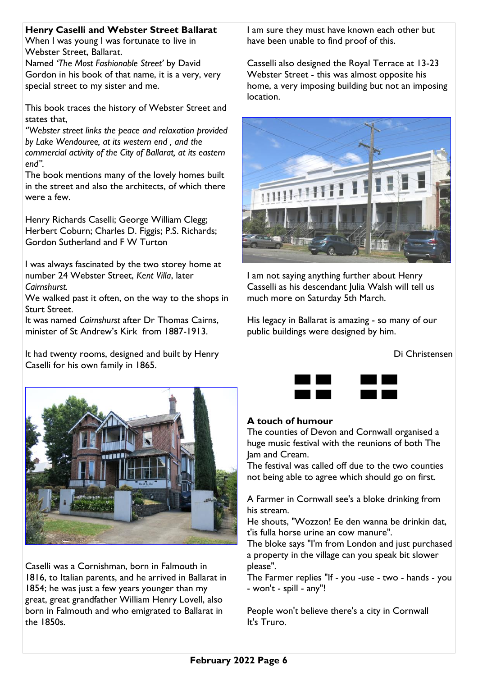## **Henry Caselli and Webster Street Ballarat**

When I was young I was fortunate to live in Webster Street, Ballarat.

Named *'The Most Fashionable Street'* by David Gordon in his book of that name, it is a very, very special street to my sister and me.

This book traces the history of Webster Street and states that,

*''Webster street links the peace and relaxation provided by Lake Wendouree, at its western end , and the commercial activity of the City of Ballarat, at its eastern end''.*

The book mentions many of the lovely homes built in the street and also the architects, of which there were a few.

Henry Richards Caselli; George William Clegg; Herbert Coburn; Charles D. Figgis; P.S. Richards; Gordon Sutherland and F W Turton

I was always fascinated by the two storey home at number 24 Webster Street, *Kent Villa*, later *Cairnshurst.*

We walked past it often, on the way to the shops in Sturt Street.

It was named *Cairnshurst* after Dr Thomas Cairns, minister of St Andrew's Kirk from 1887-1913.

It had twenty rooms, designed and built by Henry Caselli for his own family in 1865.



Caselli was a Cornishman, born in Falmouth in 1816, to Italian parents, and he arrived in Ballarat in 1854; he was just a few years younger than my great, great grandfather William Henry Lovell, also born in Falmouth and who emigrated to Ballarat in the 1850s.

I am sure they must have known each other but have been unable to find proof of this.

Casselli also designed the Royal Terrace at 13-23 Webster Street - this was almost opposite his home, a very imposing building but not an imposing location.



I am not saying anything further about Henry Casselli as his descendant Julia Walsh will tell us much more on Saturday 5th March.

His legacy in Ballarat is amazing - so many of our public buildings were designed by him.

Di Christensen



#### **A touch of humour**

The counties of Devon and Cornwall organised a huge music festival with the reunions of both The Jam and Cream.

The festival was called off due to the two counties not being able to agree which should go on first.

A Farmer in Cornwall see's a bloke drinking from his stream.

He shouts, "Wozzon! Ee den wanna be drinkin dat, t'is fulla horse urine an cow manure".

The bloke says "I'm from London and just purchased a property in the village can you speak bit slower please".

The Farmer replies "If - you -use - two - hands - you - won't - spill - any"!

People won't believe there's a city in Cornwall It's Truro.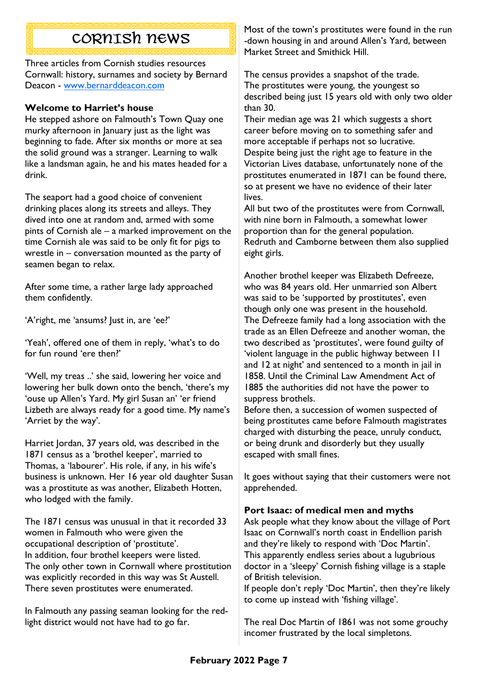# CORNISH news

Three articles from Cornish studies resources Cornwall: history, surnames and society by Bernard Deacon - [www.bernarddeacon.com](http://www.bernarddeacon.com)

### **Welcome to Harriet's house**

He stepped ashore on Falmouth's Town Quay one murky afternoon in January just as the light was beginning to fade. After six months or more at sea the solid ground was a stranger. Learning to walk like a landsman again, he and his mates headed for a drink.

The seaport had a good choice of convenient drinking places along its streets and alleys. They dived into one at random and, armed with some pints of Cornish ale – a marked improvement on the time Cornish ale was said to be only fit for pigs to wrestle in – conversation mounted as the party of seamen began to relax.

After some time, a rather large lady approached them confidently.

'A'right, me 'ansums? Just in, are 'ee?'

'Yeah', offered one of them in reply, 'what's to do for fun round 'ere then?'

'Well, my treas ..' she said, lowering her voice and lowering her bulk down onto the bench, 'there's my 'ouse up Allen's Yard. My girl Susan an' 'er friend Lizbeth are always ready for a good time. My name's 'Arriet by the way'.

Harriet Jordan, 37 years old, was described in the 1871 census as a 'brothel keeper', married to Thomas, a 'labourer'. His role, if any, in his wife's business is unknown. Her 16 year old daughter Susan was a prostitute as was another, Elizabeth Hotten, who lodged with the family.

The 1871 census was unusual in that it recorded 33 women in Falmouth who were given the occupational description of 'prostitute'. In addition, four brothel keepers were listed. The only other town in Cornwall where prostitution was explicitly recorded in this way was St Austell. There seven prostitutes were enumerated.

In Falmouth any passing seaman looking for the redlight district would not have had to go far.

Most of the town's prostitutes were found in the run -down housing in and around Allen's Yard, between Market Street and Smithick Hill.

The census provides a snapshot of the trade. The prostitutes were young, the youngest so described being just 15 years old with only two older than 30.

Their median age was 21 which suggests a short career before moving on to something safer and more acceptable if perhaps not so lucrative. Despite being just the right age to feature in the Victorian Lives database, unfortunately none of the prostitutes enumerated in 1871 can be found there, so at present we have no evidence of their later lives.

All but two of the prostitutes were from Cornwall, with nine born in Falmouth, a somewhat lower proportion than for the general population. Redruth and Camborne between them also supplied eight girls.

Another brothel keeper was Elizabeth Defreeze, who was 84 years old. Her unmarried son Albert was said to be 'supported by prostitutes', even though only one was present in the household. The Defreeze family had a long association with the trade as an Ellen Defreeze and another woman, the two described as 'prostitutes', were found guilty of 'violent language in the public highway between 11 and 12 at night' and sentenced to a month in jail in 1858. Until the Criminal Law Amendment Act of 1885 the authorities did not have the power to suppress brothels.

Before then, a succession of women suspected of being prostitutes came before Falmouth magistrates charged with disturbing the peace, unruly conduct, or being drunk and disorderly but they usually escaped with small fines.

It goes without saying that their customers were not apprehended.

## **Port Isaac: of medical men and myths**

Ask people what they know about the village of Port Isaac on Cornwall's north coast in Endellion parish and they're likely to respond with 'Doc Martin'. This apparently endless series about a lugubrious doctor in a 'sleepy' Cornish fishing village is a staple of British television.

If people don't reply 'Doc Martin', then they're likely to come up instead with 'fishing village'.

The real Doc Martin of 1861 was not some grouchy incomer frustrated by the local simpletons.